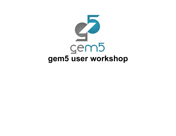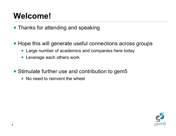## **Welcome!**

- Thanks for attending and speaking
- Hope this will generate useful connections across groups
	- Large number of academics and companies here today
	- Leverage each others work
- Stimulate further use and contribution to gem5
	- No need to reinvent the wheel

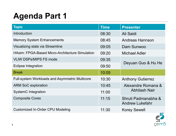# **Agenda Part 1**

| <b>Topic</b>                                           | <b>Time</b> | <b>Presenter</b>                              |
|--------------------------------------------------------|-------------|-----------------------------------------------|
| <b>Introduction</b>                                    | 08:30       | Ali Saidi                                     |
| <b>Memory System Enhancements</b>                      | 08:45       | Andreas Hannson                               |
| Visualizing stats via Streamline                       | 09:05       | Dam Sunwoo                                    |
| <b>HAsim: FPGA-Based Micro-Architecture Simulation</b> | 09:20       | Michael Adler                                 |
| <b>VLIW DSPs/MIPS FS mode</b>                          | 09:35       | Deyuan Guo & Hu He                            |
| Eclipse Integration                                    | 09:50       |                                               |
| <b>Break</b>                                           | 10:05       |                                               |
| <b>Full-system Workloads and Asymmetric Multicore</b>  | 10:30       | <b>Anthony Gutierrez</b>                      |
| <b>ARM SoC exploration</b>                             | 10:45       | Alexandre Romana &<br><b>Abhilash Nair</b>    |
| <b>SystemC</b> Integration                             | 11:00       |                                               |
| <b>Composite Cores</b>                                 | 11:15       | Shruti Padmanabha &<br><b>Andrew Lukefahr</b> |
| <b>Customized In-Order CPU Modeling</b>                | 11:30       | <b>Korey Sewell</b>                           |

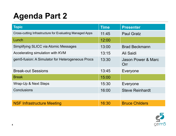# **Agenda Part 2**

| <b>Topic</b>                                             | <b>Time</b> | <b>Presenter</b>          |
|----------------------------------------------------------|-------------|---------------------------|
| Cross-cutting Infrastructure for Evaluating Managed Apps | 11:45       | <b>Paul Gratz</b>         |
| Lunch                                                    | 12:00       |                           |
| <b>Simplifying SLICC via Atomic Messages</b>             | 13:00       | <b>Brad Beckmann</b>      |
| Accelerating simulation with KVM                         | 13:15       | Ali Saidi                 |
| gem5-fusion: A Simulator for Heterogeneous Procs         | 13:30       | Jason Power & Marc<br>Orr |
| <b>Break-out Sessions</b>                                | 13:45       | Everyone                  |
| <b>Break</b>                                             | 15:00       |                           |
| Wrap-Up & Next Steps                                     | 15:30       | Everyone                  |
| <b>Conclusions</b>                                       | 16:00       | <b>Steve Reinhardt</b>    |
|                                                          |             |                           |
| <b>NSF Infrastructure Meeting</b>                        | 16:30       | <b>Bruce Childers</b>     |

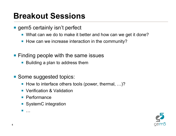#### **Breakout Sessions**

- gem5 certainly isn't perfect
	- What can we do to make it better and how can we get it done?
	- How can we increase interaction in the community?
- Finding people with the same issues
	- Building a plan to address them
- Some suggested topics:
	- How to interface others tools (power, thermal, ...)?
	- Verification & Validation
	- Performance
	- SystemC integration

§ …

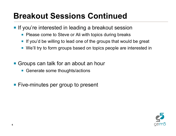### **Breakout Sessions Continued**

- **If you're interested in leading a breakout session** 
	- Please come to Steve or Ali with topics during breaks
	- If you'd be willing to lead one of the groups that would be great
	- We'll try to form groups based on topics people are interested in
- Groups can talk for an about an hour
	- Generate some thoughts/actions
- Five-minutes per group to present

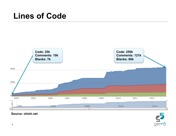#### **Lines of Code**



# $\sqrt{\frac{2}{2}}$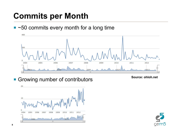### **Commits per Month**

■ ~50 commits every month for a long time



■ Growing number of contributors **Source: ohloh.net**